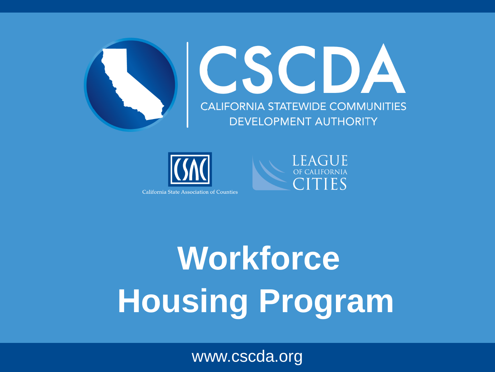





## **Workforce Housing Program**

www.cscda.org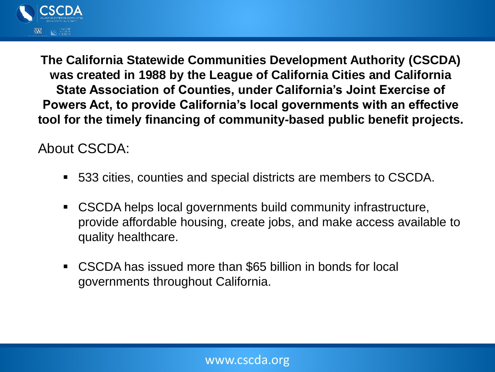

**The California Statewide Communities Development Authority (CSCDA) was created in 1988 by the League of California Cities and California State Association of Counties, under California's Joint Exercise of Powers Act, to provide California's local governments with an effective tool for the timely financing of community-based public benefit projects.**

About CSCDA:

- 533 cities, counties and special districts are members to CSCDA.
- CSCDA helps local governments build community infrastructure, provide affordable housing, create jobs, and make access available to quality healthcare.
- CSCDA has issued more than \$65 billion in bonds for local governments throughout California.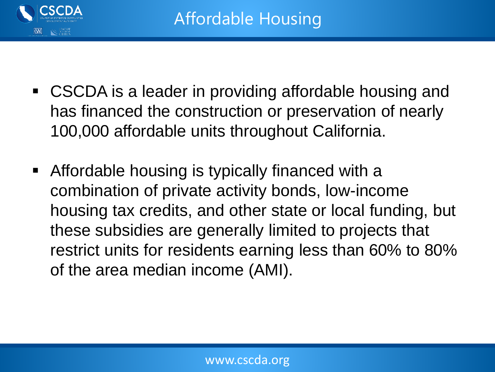

- CSCDA is a leader in providing affordable housing and has financed the construction or preservation of nearly 100,000 affordable units throughout California.
- Affordable housing is typically financed with a combination of private activity bonds, low-income housing tax credits, and other state or local funding, but these subsidies are generally limited to projects that restrict units for residents earning less than 60% to 80% of the area median income (AMI).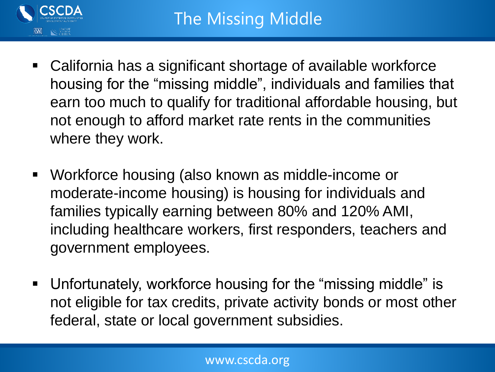

- California has a significant shortage of available workforce housing for the "missing middle", individuals and families that earn too much to qualify for traditional affordable housing, but not enough to afford market rate rents in the communities where they work.
- Workforce housing (also known as middle-income or moderate-income housing) is housing for individuals and families typically earning between 80% and 120% AMI, including healthcare workers, first responders, teachers and government employees.
- Unfortunately, workforce housing for the "missing middle" is not eligible for tax credits, private activity bonds or most other federal, state or local government subsidies.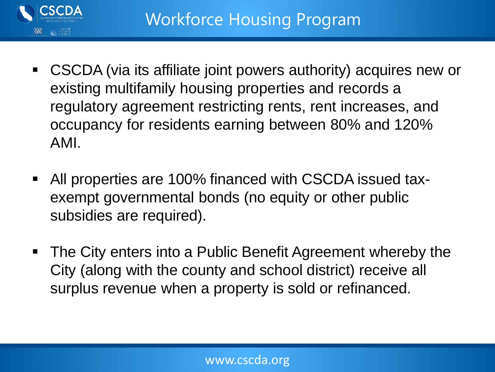

- CSCDA (via its affiliate joint powers authority) acquires new or existing multifamily housing properties and records a regulatory agreement restricting rents, rent increases, and occupancy for residents earning between 80% and 120% AMI.
- All properties are 100% financed with CSCDA issued taxexempt governmental bonds (no equity or other public subsidies are required).
- The City enters into a Public Benefit Agreement whereby the City (along with the county and school district) receive all surplus revenue when a property is sold or refinanced.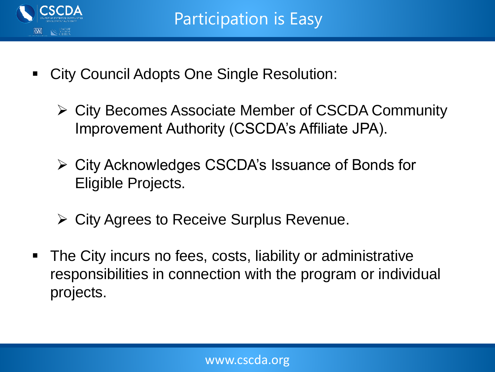

- **City Council Adopts One Single Resolution:** 
	- ➢ City Becomes Associate Member of CSCDA Community Improvement Authority (CSCDA's Affiliate JPA).
	- ➢ City Acknowledges CSCDA's Issuance of Bonds for Eligible Projects.
	- ➢ City Agrees to Receive Surplus Revenue.
- The City incurs no fees, costs, liability or administrative responsibilities in connection with the program or individual projects.